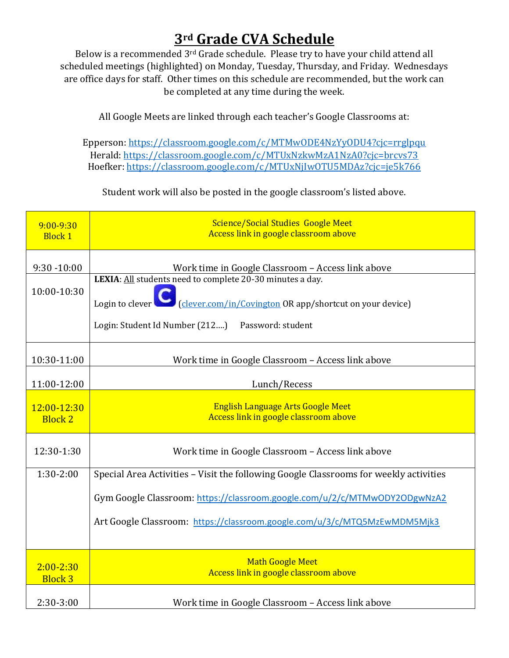## **3rd Grade CVA Schedule**

Below is a recommended 3rd Grade schedule. Please try to have your child attend all scheduled meetings (highlighted) on Monday, Tuesday, Thursday, and Friday. Wednesdays are office days for staff. Other times on this schedule are recommended, but the work can be completed at any time during the week.

All Google Meets are linked through each teacher's Google Classrooms at:

Epperson[: https://classroom.google.com/c/MTMwODE4NzYyODU4?cjc=rrglpqu](https://classroom.google.com/c/MTMwODE4NzYyODU4?cjc=rrglpqu) Herald:<https://classroom.google.com/c/MTUxNzkwMzA1NzA0?cjc=brcvs73> Hoefker:<https://classroom.google.com/c/MTUxNjIwOTU5MDAz?cjc=je5k766>

Student work will also be posted in the google classroom's listed above.

| $9:00 - 9:30$<br><b>Block 1</b> | <b>Science/Social Studies Google Meet</b><br>Access link in google classroom above                                                                                                                                                                   |
|---------------------------------|------------------------------------------------------------------------------------------------------------------------------------------------------------------------------------------------------------------------------------------------------|
| $9:30 - 10:00$<br>10:00-10:30   | Work time in Google Classroom - Access link above<br>LEXIA: All students need to complete 20-30 minutes a day.<br>(clever.com/in/Covington OR app/shortcut on your device)<br>Login to clever<br>Login: Student Id Number (212)<br>Password: student |
| 10:30-11:00                     | Work time in Google Classroom - Access link above                                                                                                                                                                                                    |
| 11:00-12:00                     | Lunch/Recess                                                                                                                                                                                                                                         |
| 12:00-12:30<br><b>Block 2</b>   | <b>English Language Arts Google Meet</b><br>Access link in google classroom above                                                                                                                                                                    |
| 12:30-1:30                      | Work time in Google Classroom - Access link above                                                                                                                                                                                                    |
| $1:30-2:00$                     | Special Area Activities - Visit the following Google Classrooms for weekly activities                                                                                                                                                                |
|                                 | Gym Google Classroom: https://classroom.google.com/u/2/c/MTMwODY2ODgwNzA2                                                                                                                                                                            |
|                                 | Art Google Classroom: https://classroom.google.com/u/3/c/MTQ5MzEwMDM5Mjk3                                                                                                                                                                            |
| $2:00 - 2:30$<br><b>Block 3</b> | <b>Math Google Meet</b><br>Access link in google classroom above                                                                                                                                                                                     |
| 2:30-3:00                       | Work time in Google Classroom - Access link above                                                                                                                                                                                                    |